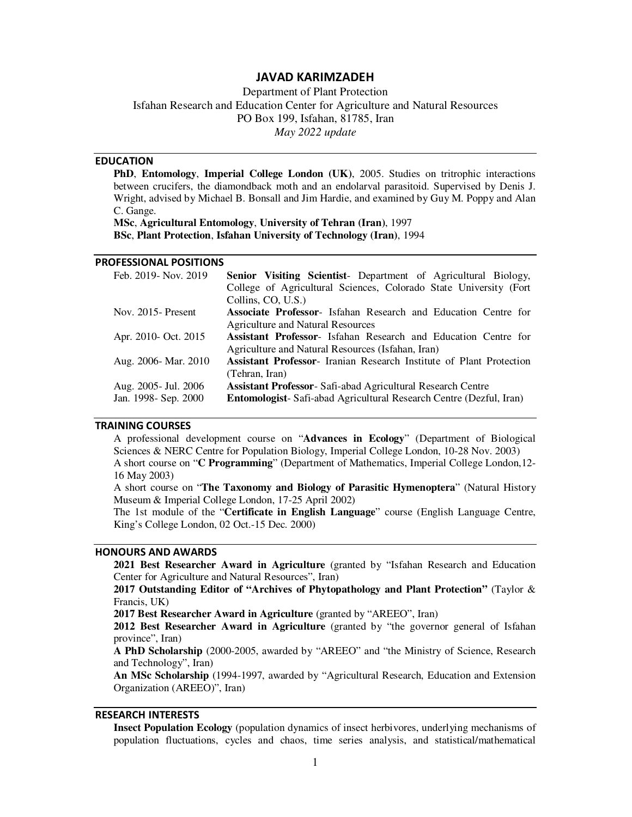# **JAVAD KARIMZADEH**

Department of Plant Protection Isfahan Research and Education Center for Agriculture and Natural Resources PO Box 199, Isfahan, 81785, Iran *May 2022 update* 

# **EDUCATION**

**PhD**, **Entomology**, **Imperial College London (UK)**, 2005. Studies on tritrophic interactions between crucifers, the diamondback moth and an endolarval parasitoid. Supervised by Denis J. Wright, advised by Michael B. Bonsall and Jim Hardie, and examined by Guy M. Poppy and Alan C. Gange.

**MSc**, **Agricultural Entomology**, **University of Tehran (Iran)**, 1997 **BSc**, **Plant Protection**, **Isfahan University of Technology (Iran)**, 1994

# **PROFESSIONAL POSITIONS**

| Feb. 2019- Nov. 2019  | <b>Senior Visiting Scientist-</b> Department of Agricultural Biology,      |
|-----------------------|----------------------------------------------------------------------------|
|                       | College of Agricultural Sciences, Colorado State University (Fort          |
|                       | Collins, CO, U.S.)                                                         |
| Nov. $2015$ - Present | <b>Associate Professor-</b> Isfahan Research and Education Centre for      |
|                       | Agriculture and Natural Resources                                          |
| Apr. 2010- Oct. 2015  | <b>Assistant Professor-</b> Isfahan Research and Education Centre for      |
|                       | Agriculture and Natural Resources (Isfahan, Iran)                          |
| Aug. 2006- Mar. 2010  | <b>Assistant Professor-</b> Iranian Research Institute of Plant Protection |
|                       | (Tehran, Iran)                                                             |
| Aug. 2005 - Jul. 2006 | <b>Assistant Professor-Safi-abad Agricultural Research Centre</b>          |
| Jan. 1998- Sep. 2000  | <b>Entomologist-Safi-abad Agricultural Research Centre (Dezful, Iran)</b>  |

#### **TRAINING COURSES**

A professional development course on "**Advances in Ecology**" (Department of Biological Sciences & NERC Centre for Population Biology, Imperial College London, 10-28 Nov. 2003) A short course on "**C Programming**" (Department of Mathematics, Imperial College London,12- 16 May 2003)

A short course on "**The Taxonomy and Biology of Parasitic Hymenoptera**" (Natural History Museum & Imperial College London, 17-25 April 2002)

The 1st module of the "**Certificate in English Language**" course (English Language Centre, King's College London, 02 Oct.-15 Dec. 2000)

# **HONOURS AND AWARDS**

**2021 Best Researcher Award in Agriculture** (granted by "Isfahan Research and Education Center for Agriculture and Natural Resources", Iran)

**2017 Outstanding Editor of "Archives of Phytopathology and Plant Protection"** (Taylor & Francis, UK)

**2017 Best Researcher Award in Agriculture** (granted by "AREEO", Iran)

**2012 Best Researcher Award in Agriculture** (granted by "the governor general of Isfahan province", Iran)

**A PhD Scholarship** (2000-2005, awarded by "AREEO" and "the Ministry of Science, Research and Technology", Iran)

**An MSc Scholarship** (1994-1997, awarded by "Agricultural Research, Education and Extension Organization (AREEO)", Iran)

# **RESEARCH INTERESTS**

**Insect Population Ecology** (population dynamics of insect herbivores, underlying mechanisms of population fluctuations, cycles and chaos, time series analysis, and statistical/mathematical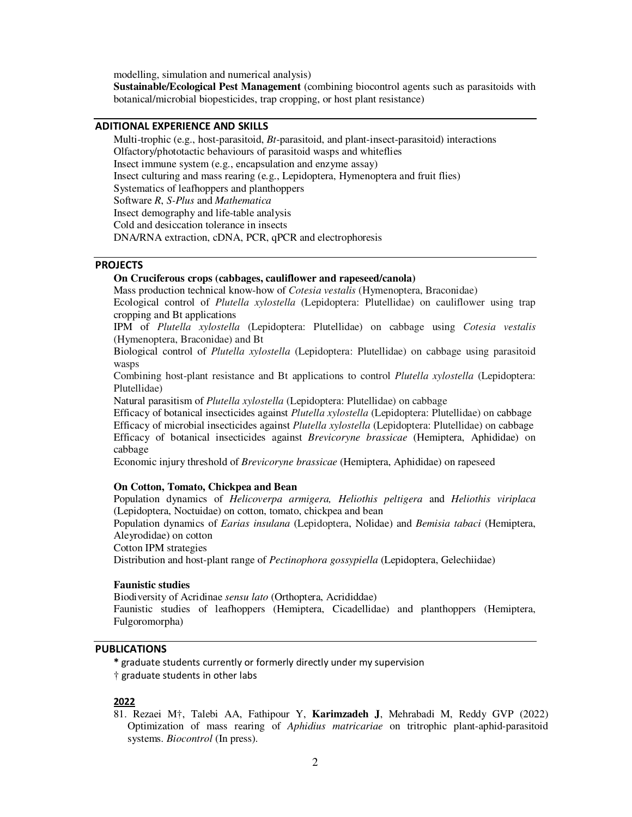modelling, simulation and numerical analysis)

**Sustainable/Ecological Pest Management** (combining biocontrol agents such as parasitoids with botanical/microbial biopesticides, trap cropping, or host plant resistance)

# **ADITIONAL EXPERIENCE AND SKILLS**

Multi-trophic (e.g., host-parasitoid, *Bt*-parasitoid, and plant-insect-parasitoid) interactions Olfactory/phototactic behaviours of parasitoid wasps and whiteflies Insect immune system (e.g., encapsulation and enzyme assay) Insect culturing and mass rearing (e.g., Lepidoptera, Hymenoptera and fruit flies) Systematics of leafhoppers and planthoppers Software *R*, *S-Plus* and *Mathematica*  Insect demography and life-table analysis Cold and desiccation tolerance in insects DNA/RNA extraction, cDNA, PCR, qPCR and electrophoresis

## **PROJECTS**

# **On Cruciferous crops (cabbages, cauliflower and rapeseed/canola)**

Mass production technical know-how of *Cotesia vestalis* (Hymenoptera, Braconidae)

Ecological control of *Plutella xylostella* (Lepidoptera: Plutellidae) on cauliflower using trap cropping and Bt applications

IPM of *Plutella xylostella* (Lepidoptera: Plutellidae) on cabbage using *Cotesia vestalis* (Hymenoptera, Braconidae) and Bt

Biological control of *Plutella xylostella* (Lepidoptera: Plutellidae) on cabbage using parasitoid wasps

Combining host-plant resistance and Bt applications to control *Plutella xylostella* (Lepidoptera: Plutellidae)

Natural parasitism of *Plutella xylostella* (Lepidoptera: Plutellidae) on cabbage

Efficacy of botanical insecticides against *Plutella xylostella* (Lepidoptera: Plutellidae) on cabbage Efficacy of microbial insecticides against *Plutella xylostella* (Lepidoptera: Plutellidae) on cabbage Efficacy of botanical insecticides against *Brevicoryne brassicae* (Hemiptera, Aphididae) on cabbage

Economic injury threshold of *Brevicoryne brassicae* (Hemiptera, Aphididae) on rapeseed

# **On Cotton, Tomato, Chickpea and Bean**

Population dynamics of *Helicoverpa armigera, Heliothis peltigera* and *Heliothis viriplaca* (Lepidoptera, Noctuidae) on cotton, tomato, chickpea and bean

Population dynamics of *Earias insulana* (Lepidoptera, Nolidae) and *Bemisia tabaci* (Hemiptera, Aleyrodidae) on cotton

Cotton IPM strategies

Distribution and host-plant range of *Pectinophora gossypiella* (Lepidoptera, Gelechiidae)

#### **Faunistic studies**

Biodiversity of Acridinae *sensu lato* (Orthoptera, Acrididdae) Faunistic studies of leafhoppers (Hemiptera, Cicadellidae) and planthoppers (Hemiptera, Fulgoromorpha)

# **PUBLICATIONS**

**\*** graduate students currently or formerly directly under my supervision

† graduate students in other labs

## **2022**

81. Rezaei M†, Talebi AA, Fathipour Y, **Karimzadeh J**, Mehrabadi M, Reddy GVP (2022) Optimization of mass rearing of *Aphidius matricariae* on tritrophic plant-aphid-parasitoid systems. *Biocontrol* (In press).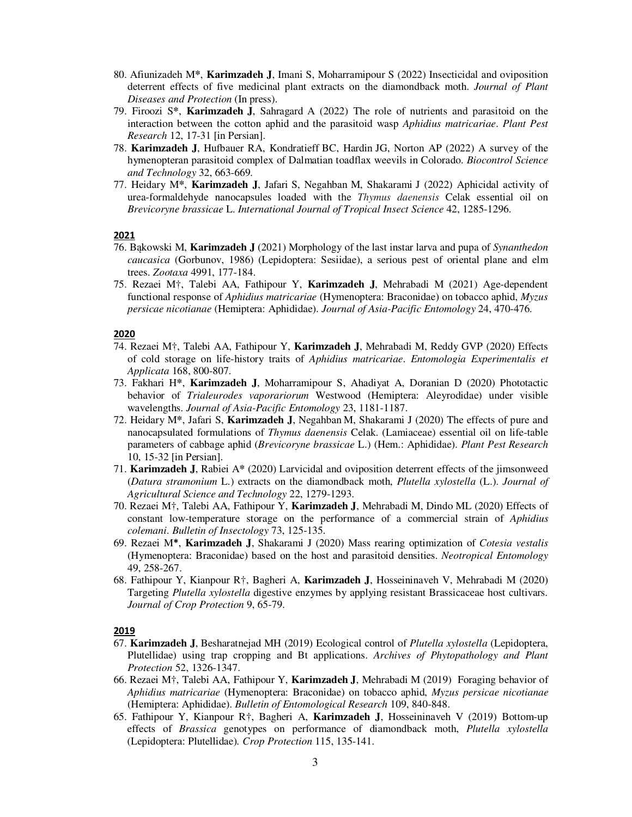- 80. Afiunizadeh M**\***, **Karimzadeh J**, Imani S, Moharramipour S (2022) Insecticidal and oviposition deterrent effects of five medicinal plant extracts on the diamondback moth. *Journal of Plant Diseases and Protection* (In press).
- 79. Firoozi S**\***, **Karimzadeh J**, Sahragard A (2022) The role of nutrients and parasitoid on the interaction between the cotton aphid and the parasitoid wasp *Aphidius matricariae*. *Plant Pest Research* 12, 17-31 [in Persian].
- 78. **Karimzadeh J**, Hufbauer RA, Kondratieff BC, Hardin JG, Norton AP (2022) A survey of the hymenopteran parasitoid complex of Dalmatian toadflax weevils in Colorado. *Biocontrol Science and Technology* 32, 663-669.
- 77. Heidary M**\***, **Karimzadeh J**, Jafari S, Negahban M, Shakarami J (2022) Aphicidal activity of urea-formaldehyde nanocapsules loaded with the *Thymus daenensis* Celak essential oil on *Brevicoryne brassicae* L. *International Journal of Tropical Insect Science* 42, 1285-1296.

### **2021**

- 76. Bąkowski M, **Karimzadeh J** (2021) Morphology of the last instar larva and pupa of *Synanthedon caucasica* (Gorbunov, 1986) (Lepidoptera: Sesiidae), a serious pest of oriental plane and elm trees. *Zootaxa* 4991, 177-184.
- 75. Rezaei M†, Talebi AA, Fathipour Y, **Karimzadeh J**, Mehrabadi M (2021) Age-dependent functional response of *Aphidius matricariae* (Hymenoptera: Braconidae) on tobacco aphid, *Myzus persicae nicotianae* (Hemiptera: Aphididae). *Journal of Asia-Pacific Entomology* 24, 470-476.

## **2020**

- 74. Rezaei M†, Talebi AA, Fathipour Y, **Karimzadeh J**, Mehrabadi M, Reddy GVP (2020) Effects of cold storage on life-history traits of *Aphidius matricariae*. *Entomologia Experimentalis et Applicata* 168, 800-807.
- 73. Fakhari H**\***, **Karimzadeh J**, Moharramipour S, Ahadiyat A, Doranian D (2020) Phototactic behavior of *Trialeurodes vaporariorum* Westwood (Hemiptera: Aleyrodidae) under visible wavelengths. *Journal of Asia-Pacific Entomology* 23, 1181-1187.
- 72. Heidary M**\***, Jafari S, **Karimzadeh J**, Negahban M, Shakarami J (2020) The effects of pure and nanocapsulated formulations of *Thymus daenensis* Celak. (Lamiaceae) essential oil on life-table parameters of cabbage aphid (*Brevicoryne brassicae* L.) (Hem.: Aphididae). *Plant Pest Research*  10, 15-32 [in Persian].
- 71. **Karimzadeh J**, Rabiei A**\*** (2020) Larvicidal and oviposition deterrent effects of the jimsonweed (*Datura stramonium* L.) extracts on the diamondback moth, *Plutella xylostella* (L.). *Journal of Agricultural Science and Technology* 22, 1279-1293.
- 70. Rezaei M†, Talebi AA, Fathipour Y, **Karimzadeh J**, Mehrabadi M, Dindo ML (2020) Effects of constant low-temperature storage on the performance of a commercial strain of *Aphidius colemani*. *Bulletin of Insectology* 73, 125-135.
- 69. Rezaei M**\***, **Karimzadeh J**, Shakarami J (2020) Mass rearing optimization of *Cotesia vestalis* (Hymenoptera: Braconidae) based on the host and parasitoid densities. *Neotropical Entomology* 49, 258-267.
- 68. Fathipour Y, Kianpour R†, Bagheri A, **Karimzadeh J**, Hosseininaveh V, Mehrabadi M (2020) Targeting *Plutella xylostella* digestive enzymes by applying resistant Brassicaceae host cultivars. *Journal of Crop Protection* 9, 65-79.

- 67. **Karimzadeh J**, Besharatnejad MH (2019) Ecological control of *Plutella xylostella* (Lepidoptera, Plutellidae) using trap cropping and Bt applications. *Archives of Phytopathology and Plant Protection* 52, 1326-1347.
- 66. Rezaei M†, Talebi AA, Fathipour Y, **Karimzadeh J**, Mehrabadi M (2019) Foraging behavior of *Aphidius matricariae* (Hymenoptera: Braconidae) on tobacco aphid, *Myzus persicae nicotianae* (Hemiptera: Aphididae). *Bulletin of Entomological Research* 109, 840-848.
- 65. Fathipour Y, Kianpour R†, Bagheri A, **Karimzadeh J**, Hosseininaveh V (2019) Bottom-up effects of *Brassica* genotypes on performance of diamondback moth, *Plutella xylostella* (Lepidoptera: Plutellidae)*. Crop Protection* 115, 135-141.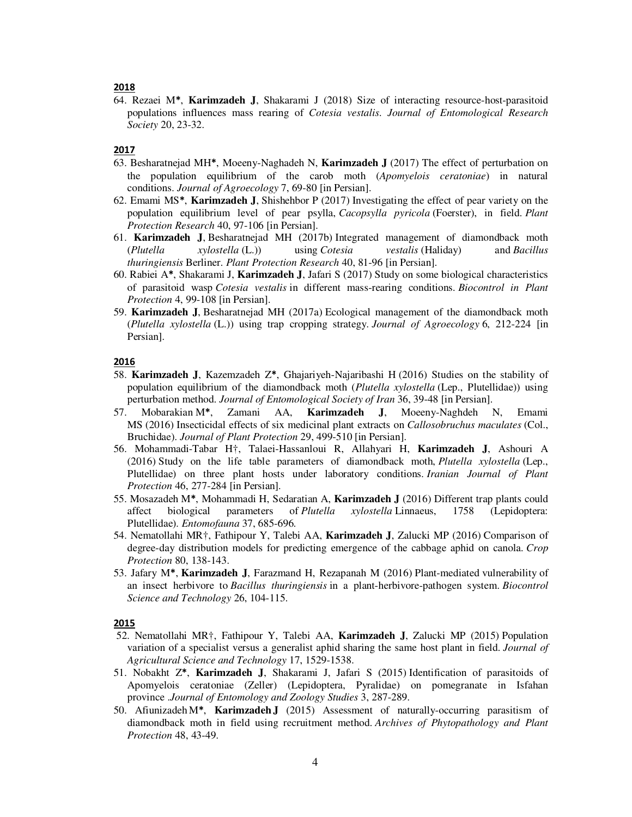## **2018**

64. Rezaei M**\***, **Karimzadeh J**, Shakarami J (2018) Size of interacting resource-host-parasitoid populations influences mass rearing of *Cotesia vestalis*. *Journal of Entomological Research Society* 20, 23-32.

#### **2017**

- 63. Besharatnejad MH**\***, Moeeny-Naghadeh N, **Karimzadeh J** (2017) The effect of perturbation on the population equilibrium of the carob moth (*Apomyelois ceratoniae*) in natural conditions. *Journal of Agroecology* 7, 69-80 [in Persian].
- 62. Emami MS**\***, **Karimzadeh J**, Shishehbor P (2017) Investigating the effect of pear variety on the population equilibrium level of pear psylla, *Cacopsylla pyricola* (Foerster), in field. *Plant Protection Research* 40, 97-106 [in Persian].
- 61. **Karimzadeh J**, Besharatnejad MH (2017b) Integrated management of diamondback moth (*Plutella xylostella* (L.)) using *Cotesia vestalis* (Haliday) and *Bacillus thuringiensis* Berliner. *Plant Protection Research* 40, 81-96 [in Persian].
- 60. Rabiei A**\***, Shakarami J, **Karimzadeh J**, Jafari S (2017) Study on some biological characteristics of parasitoid wasp *Cotesia vestalis* in different mass-rearing conditions. *Biocontrol in Plant Protection* 4, 99-108 [in Persian].
- 59. **Karimzadeh J**, Besharatnejad MH (2017a) Ecological management of the diamondback moth (*Plutella xylostella* (L.)) using trap cropping strategy. *Journal of Agroecology* 6, 212-224 [in Persian].

## **2016**

- 58. **Karimzadeh J**, Kazemzadeh Z**\***, Ghajariyeh-Najaribashi H (2016) Studies on the stability of population equilibrium of the diamondback moth (*Plutella xylostella* (Lep., Plutellidae)) using perturbation method. *Journal of Entomological Society of Iran* 36, 39-48 [in Persian].
- 57. Mobarakian M**\***, Zamani AA, **Karimzadeh J**, Moeeny-Naghdeh N, Emami MS (2016) Insecticidal effects of six medicinal plant extracts on *Callosobruchus maculates* (Col., Bruchidae). *Journal of Plant Protection* 29, 499-510 [in Persian].
- 56. Mohammadi-Tabar H†, Talaei-Hassanloui R, Allahyari H, **Karimzadeh J**, Ashouri A (2016) Study on the life table parameters of diamondback moth, *Plutella xylostella* (Lep., Plutellidae) on three plant hosts under laboratory conditions. *Iranian Journal of Plant Protection* 46, 277-284 [in Persian].
- 55. Mosazadeh M**\***, Mohammadi H, Sedaratian A, **Karimzadeh J** (2016) Different trap plants could affect biological parameters of *Plutella xylostella* Linnaeus, 1758 (Lepidoptera: Plutellidae). *Entomofauna* 37, 685-696.
- 54. Nematollahi MR†, Fathipour Y, Talebi AA, **Karimzadeh J**, Zalucki MP (2016) Comparison of degree-day distribution models for predicting emergence of the cabbage aphid on canola. *Crop Protection* 80, 138-143.
- 53. Jafary M**\***, **Karimzadeh J**, Farazmand H, Rezapanah M (2016) Plant-mediated vulnerability of an insect herbivore to *Bacillus thuringiensis* in a plant-herbivore-pathogen system. *Biocontrol Science and Technology* 26, 104-115.

- 52. Nematollahi MR†, Fathipour Y, Talebi AA, **Karimzadeh J**, Zalucki MP (2015) Population variation of a specialist versus a generalist aphid sharing the same host plant in field. *Journal of Agricultural Science and Technology* 17, 1529-1538.
- 51. Nobakht Z**\***, **Karimzadeh J**, Shakarami J, Jafari S (2015) Identification of parasitoids of Apomyelois ceratoniae (Zeller) (Lepidoptera, Pyralidae) on pomegranate in Isfahan province . *Journal of Entomology and Zoology Studies* 3, 287-289.
- 50. AfiunizadehM**\***, **Karimzadeh J** (2015) Assessment of naturally-occurring parasitism of diamondback moth in field using recruitment method. *Archives of Phytopathology and Plant Protection* 48, 43-49.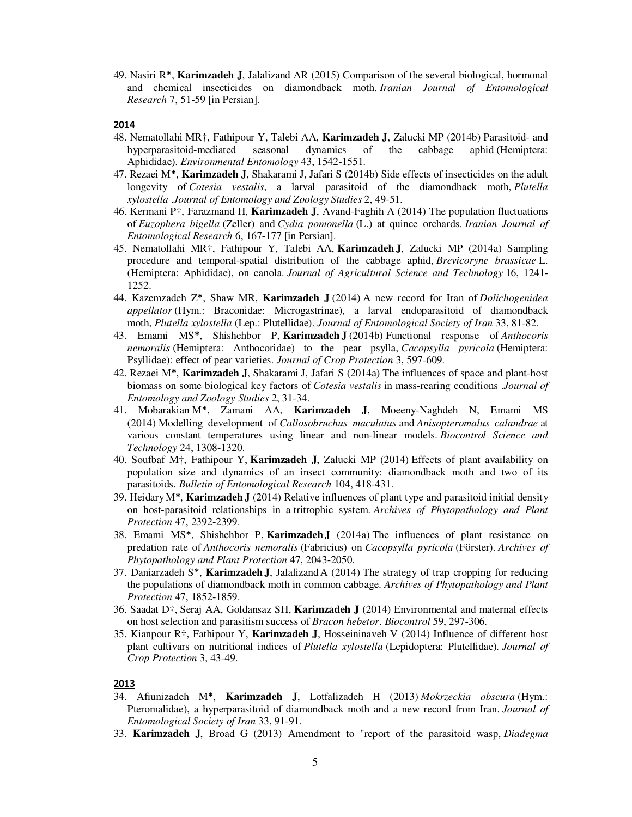49. Nasiri R**\***, **Karimzadeh J**, Jalalizand AR (2015) Comparison of the several biological, hormonal and chemical insecticides on diamondback moth. *Iranian Journal of Entomological Research* 7, 51-59 [in Persian].

### **2014**

- 48. Nematollahi MR†, Fathipour Y, Talebi AA, **Karimzadeh J**, Zalucki MP (2014b) Parasitoid- and hyperparasitoid-mediated seasonal dynamics of the cabbage aphid (Hemiptera: Aphididae). *Environmental Entomology* 43, 1542-1551.
- 47. Rezaei M**\***, **Karimzadeh J**, Shakarami J, Jafari S (2014b) Side effects of insecticides on the adult longevity of *Cotesia vestalis*, a larval parasitoid of the diamondback moth, *Plutella xylostella* . *Journal of Entomology and Zoology Studies* 2, 49-51.
- 46. Kermani P†, Farazmand H, **Karimzadeh J**, Avand-Faghih A (2014) The population fluctuations of *Euzophera bigella* (Zeller) and *Cydia pomonella* (L.) at quince orchards. *Iranian Journal of Entomological Research* 6, 167-177 [in Persian].
- 45. Nematollahi MR†, Fathipour Y, Talebi AA, **Karimzadeh J**, Zalucki MP (2014a) Sampling procedure and temporal-spatial distribution of the cabbage aphid, *Brevicoryne brassicae* L. (Hemiptera: Aphididae), on canola. *Journal of Agricultural Science and Technology* 16, 1241- 1252.
- 44. Kazemzadeh Z**\***, Shaw MR, **Karimzadeh J** (2014) A new record for Iran of *Dolichogenidea appellator* (Hym.: Braconidae: Microgastrinae), a larval endoparasitoid of diamondback moth, *Plutella xylostella* (Lep.: Plutellidae). *Journal of Entomological Society of Iran* 33, 81-82.
- 43. Emami MS**\***, Shishehbor P, **Karimzadeh J** (2014b) Functional response of *Anthocoris nemoralis* (Hemiptera: Anthocoridae) to the pear psylla, *Cacopsylla pyricola* (Hemiptera: Psyllidae): effect of pear varieties. *Journal of Crop Protection* 3, 597-609.
- 42. Rezaei M**\***, **Karimzadeh J**, Shakarami J, Jafari S (2014a) The influences of space and plant-host biomass on some biological key factors of *Cotesia vestalis* in mass-rearing conditions . *Journal of Entomology and Zoology Studies* 2, 31-34.
- 41. Mobarakian M**\***, Zamani AA, **Karimzadeh J**, Moeeny-Naghdeh N, Emami MS (2014) Modelling development of *Callosobruchus maculatus* and *Anisopteromalus calandrae* at various constant temperatures using linear and non-linear models. *Biocontrol Science and Technology* 24, 1308-1320.
- 40. Soufbaf M†, Fathipour Y, **Karimzadeh J**, Zalucki MP (2014) Effects of plant availability on population size and dynamics of an insect community: diamondback moth and two of its parasitoids. *Bulletin of Entomological Research* 104, 418-431.
- 39. HeidaryM**\***, **Karimzadeh J** (2014) Relative influences of plant type and parasitoid initial density on host-parasitoid relationships in a tritrophic system. *Archives of Phytopathology and Plant Protection* 47, 2392-2399.
- 38. Emami MS**\***, Shishehbor P, **Karimzadeh J** (2014a) The influences of plant resistance on predation rate of *Anthocoris nemoralis* (Fabricius) on *Cacopsylla pyricola* (Förster). *Archives of Phytopathology and Plant Protection* 47, 2043-2050.
- 37. Daniarzadeh S\*, **Karimzadeh J**, Jalalizand A (2014) The strategy of trap cropping for reducing the populations of diamondback moth in common cabbage. *Archives of Phytopathology and Plant Protection* 47, 1852-1859.
- 36. Saadat D†, Seraj AA, Goldansaz SH, **Karimzadeh J** (2014) Environmental and maternal effects on host selection and parasitism success of *Bracon hebetor*. *Biocontrol* 59, 297-306.
- 35. Kianpour R†, Fathipour Y, **Karimzadeh J**, Hosseininaveh V (2014) Influence of different host plant cultivars on nutritional indices of *Plutella xylostella* (Lepidoptera: Plutellidae)*. Journal of Crop Protection* 3, 43-49.

- 34. Afiunizadeh M**\***, **Karimzadeh J**, Lotfalizadeh H (2013) *Mokrzeckia obscura* (Hym.: Pteromalidae), a hyperparasitoid of diamondback moth and a new record from Iran. *Journal of Entomological Society of Iran* 33, 91-91*.*
- 33. **Karimzadeh J**, Broad G (2013) Amendment to "report of the parasitoid wasp, *Diadegma*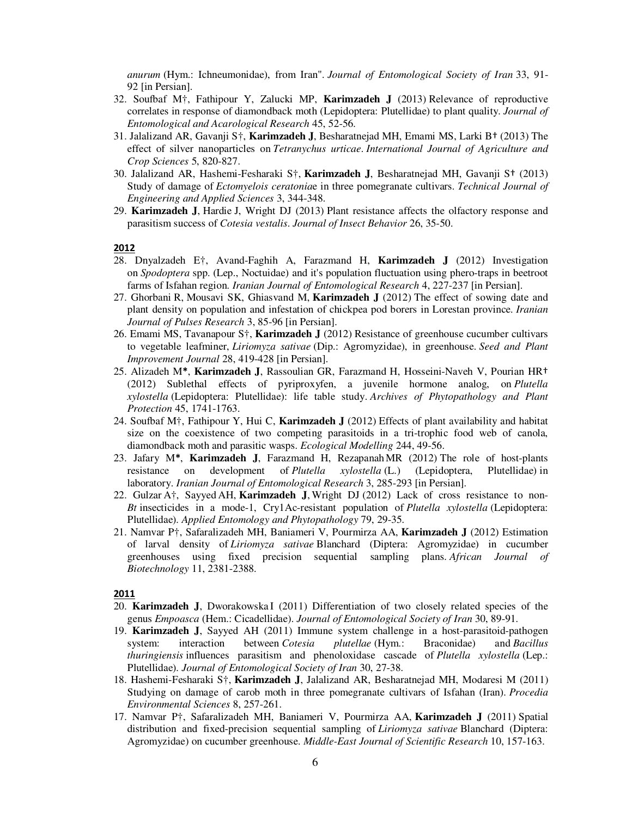*anurum* (Hym.: Ichneumonidae), from Iran". *Journal of Entomological Society of Iran* 33, 91- 92 [in Persian].

- 32. Soufbaf M†, Fathipour Y, Zalucki MP, **Karimzadeh J** (2013) Relevance of reproductive correlates in response of diamondback moth (Lepidoptera: Plutellidae) to plant quality. *Journal of Entomological and Acarological Research* 45, 52-56.
- 31. Jalalizand AR, Gavanji S†, **Karimzadeh J**, Besharatnejad MH, Emami MS, Larki B† (2013) The effect of silver nanoparticles on *Tetranychus urticae*. *International Journal of Agriculture and Crop Sciences* 5, 820-827.
- 30. Jalalizand AR, Hashemi-Fesharaki S†, **Karimzadeh J**, Besharatnejad MH, Gavanji S† (2013) Study of damage of *Ectomyelois ceratonia*e in three pomegranate cultivars. *Technical Journal of Engineering and Applied Sciences* 3, 344-348.
- 29. **Karimzadeh J**, Hardie J, Wright DJ (2013) Plant resistance affects the olfactory response and parasitism success of *Cotesia vestalis*. *Journal of Insect Behavior* 26, 35-50.

#### **2012**

- 28. Dnyalzadeh E†, Avand-Faghih A, Farazmand H, **Karimzadeh J** (2012) Investigation on *Spodoptera* spp. (Lep., Noctuidae) and it's population fluctuation using phero-traps in beetroot farms of Isfahan region. *Iranian Journal of Entomological Research* 4, 227-237 [in Persian].
- 27. Ghorbani R, Mousavi SK, Ghiasvand M, **Karimzadeh J** (2012) The effect of sowing date and plant density on population and infestation of chickpea pod borers in Lorestan province. *Iranian Journal of Pulses Research* 3, 85-96 [in Persian].
- 26. Emami MS, Tavanapour S†, **Karimzadeh J** (2012) Resistance of greenhouse cucumber cultivars to vegetable leafminer, *Liriomyza sativae* (Dip.: Agromyzidae), in greenhouse. *Seed and Plant Improvement Journal* 28, 419-428 [in Persian].
- 25. Alizadeh M**\***, **Karimzadeh J**, Rassoulian GR, Farazmand H, Hosseini-Naveh V, Pourian HR† (2012) Sublethal effects of pyriproxyfen, a juvenile hormone analog, on *Plutella xylostella* (Lepidoptera: Plutellidae): life table study. *Archives of Phytopathology and Plant Protection* 45, 1741-1763.
- 24. Soufbaf M†, Fathipour Y, Hui C, **Karimzadeh J** (2012) Effects of plant availability and habitat size on the coexistence of two competing parasitoids in a tri-trophic food web of canola, diamondback moth and parasitic wasps. *Ecological Modelling* 244, 49-56.
- 23. Jafary M**\***, **Karimzadeh J**, Farazmand H, RezapanahMR (2012) The role of host-plants resistance on development of *Plutella xylostella* (L.) (Lepidoptera, Plutellidae) in laboratory. *Iranian Journal of Entomological Research* 3, 285-293 [in Persian].
- 22. Gulzar A†, Sayyed AH, **Karimzadeh J**, Wright DJ (2012) Lack of cross resistance to non-*Bt* insecticides in a mode-1, Cry1Ac-resistant population of *Plutella xylostella* (Lepidoptera: Plutellidae). *Applied Entomology and Phytopathology* 79, 29-35.
- 21. Namvar P†, Safaralizadeh MH, Baniameri V, Pourmirza AA, **Karimzadeh J** (2012) Estimation of larval density of *Liriomyza sativae* Blanchard (Diptera: Agromyzidae) in cucumber greenhouses using fixed precision sequential sampling plans. *African Journal of Biotechnology* 11, 2381-2388.

- 20. **Karimzadeh J**, Dworakowska I (2011) Differentiation of two closely related species of the genus *Empoasca* (Hem.: Cicadellidae). *Journal of Entomological Society of Iran* 30, 89-91.
- 19. **Karimzadeh J**, Sayyed AH (2011) Immune system challenge in a host-parasitoid-pathogen system: interaction between *Cotesia plutellae* (Hym.: Braconidae) and *Bacillus thuringiensis* influences parasitism and phenoloxidase cascade of *Plutella xylostella* (Lep.: Plutellidae). *Journal of Entomological Society of Iran* 30, 27-38.
- 18. Hashemi-Fesharaki S†, **Karimzadeh J**, Jalalizand AR, Besharatnejad MH, Modaresi M (2011) Studying on damage of carob moth in three pomegranate cultivars of Isfahan (Iran). *Procedia Environmental Sciences* 8, 257-261.
- 17. Namvar P†, Safaralizadeh MH, Baniameri V, Pourmirza AA, **Karimzadeh J** (2011) Spatial distribution and fixed-precision sequential sampling of *Liriomyza sativae* Blanchard (Diptera: Agromyzidae) on cucumber greenhouse. *Middle-East Journal of Scientific Research* 10, 157-163.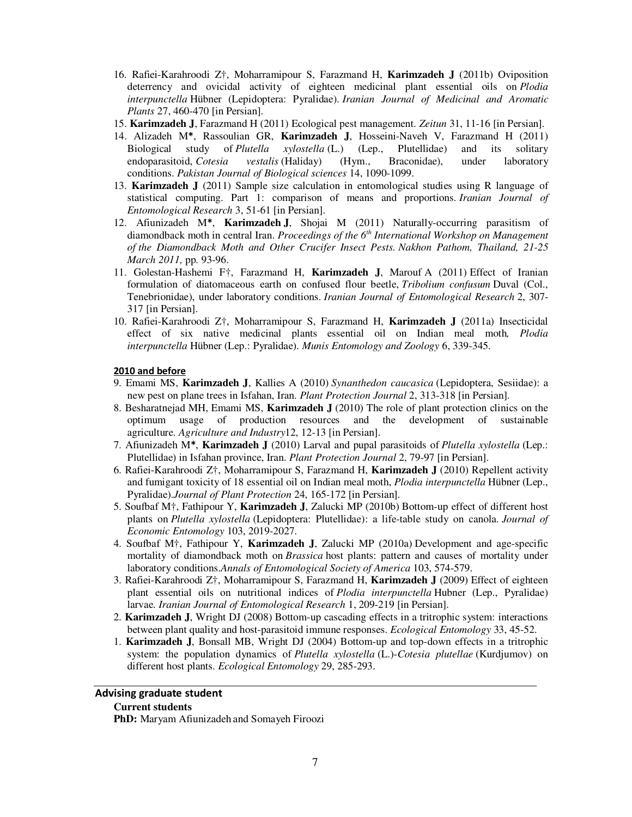- 16. Rafiei-Karahroodi Z†, Moharramipour S, Farazmand H, **Karimzadeh J** (2011b) Oviposition deterrency and ovicidal activity of eighteen medicinal plant essential oils on *Plodia interpunctella* Hübner (Lepidoptera: Pyralidae). *Iranian Journal of Medicinal and Aromatic Plants* 27, 460-470 [in Persian].
- 15. **Karimzadeh J**, Farazmand H (2011) Ecological pest management. *Zeitun* 31, 11-16 [in Persian].
- 14. Alizadeh M**\***, Rassoulian GR, **Karimzadeh J**, Hosseini-Naveh V, Farazmand H (2011) Biological study of *Plutella xylostella* (L.) (Lep., Plutellidae) and its solitary endoparasitoid, *Cotesia vestalis* (Haliday) (Hym., Braconidae), under laboratory conditions. *Pakistan Journal of Biological sciences* 14, 1090-1099.
- 13. **Karimzadeh J** (2011) Sample size calculation in entomological studies using R language of statistical computing. Part 1: comparison of means and proportions. *Iranian Journal of Entomological Research* 3, 51-61 [in Persian].
- 12. Afiunizadeh M**\***, **Karimzadeh J**, Shojai M (2011) Naturally-occurring parasitism of diamondback moth in central Iran. *Proceedings of the 6th International Workshop on Management of the Diamondback Moth and Other Crucifer Insect Pests. Nakhon Pathom, Thailand, 21-25 March 2011,* pp. 93-96.
- 11. Golestan-Hashemi F†, Farazmand H, **Karimzadeh J**, Marouf A (2011) Effect of Iranian formulation of diatomaceous earth on confused flour beetle, *Tribolium confusum* Duval (Col., Tenebrionidae), under laboratory conditions. *Iranian Journal of Entomological Research* 2, 307- 317 [in Persian].
- 10. Rafiei-Karahroodi Z†, Moharramipour S, Farazmand H, **Karimzadeh J** (2011a) Insecticidal effect of six native medicinal plants essential oil on Indian meal moth*, Plodia interpunctella* Hübner (Lep.: Pyralidae). *Munis Entomology and Zoology* 6, 339-345.

### **2010 and before**

- 9. Emami MS, **Karimzadeh J**, Kallies A (2010) *Synanthedon caucasica* (Lepidoptera, Sesiidae): a new pest on plane trees in Isfahan, Iran. *Plant Protection Journal* 2, 313-318 [in Persian].
- 8. Besharatnejad MH, Emami MS, **Karimzadeh J** (2010) The role of plant protection clinics on the optimum usage of production resources and the development of sustainable agriculture. *Agriculture and Industry*12, 12-13 [in Persian].
- 7. Afiunizadeh M**\***, **Karimzadeh J** (2010) Larval and pupal parasitoids of *Plutella xylostella* (Lep.: Plutellidae) in Isfahan province, Iran. *Plant Protection Journal* 2, 79-97 [in Persian].
- 6. Rafiei-Karahroodi Z†, Moharramipour S, Farazmand H, **Karimzadeh J** (2010) Repellent activity and fumigant toxicity of 18 essential oil on Indian meal moth, *Plodia interpunctella* Hübner (Lep., Pyralidae).*Journal of Plant Protection* 24, 165-172 [in Persian].
- 5. Soufbaf M†, Fathipour Y, **Karimzadeh J**, Zalucki MP (2010b) Bottom-up effect of different host plants on *Plutella xylostella* (Lepidoptera: Plutellidae): a life-table study on canola. *Journal of Economic Entomology* 103, 2019-2027.
- 4. Soufbaf M†, Fathipour Y, **Karimzadeh J**, Zalucki MP (2010a) Development and age-specific mortality of diamondback moth on *Brassica* host plants: pattern and causes of mortality under laboratory conditions.*Annals of Entomological Society of America* 103, 574-579.
- 3. Rafiei-Karahroodi Z†, Moharramipour S, Farazmand H, **Karimzadeh J** (2009) Effect of eighteen plant essential oils on nutritional indices of *Plodia interpunctella* Hubner (Lep., Pyralidae) larvae. *Iranian Journal of Entomological Research* 1, 209-219 [in Persian].
- 2. **Karimzadeh J**, Wright DJ (2008) Bottom-up cascading effects in a tritrophic system: interactions between plant quality and host-parasitoid immune responses. *Ecological Entomology* 33, 45-52.
- 1. **Karimzadeh J**, Bonsall MB, Wright DJ (2004) Bottom-up and top-down effects in a tritrophic system: the population dynamics of *Plutella xylostella* (L.)-*Cotesia plutellae* (Kurdjumov) on different host plants. *Ecological Entomology* 29, 285-293.

# **Advising graduate student**

# **Current students**

**PhD:** Maryam Afiunizadeh and Somayeh Firoozi